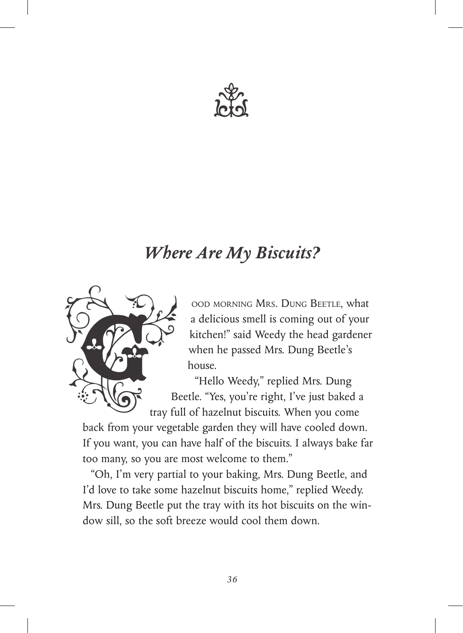

## *Where Are My Biscuits?*



ood morning Mrs. Dung Beetle, what a delicious smell is coming out of your kitchen!" said Weedy the head gardener when he passed Mrs. Dung Beetle's house.

"Hello Weedy," replied Mrs. Dung Beetle. "Yes, you're right, I've just baked a tray full of hazelnut biscuits. When you come

back from your vegetable garden they will have cooled down. If you want, you can have half of the biscuits. I always bake far too many, so you are most welcome to them."

"Oh, I'm very partial to your baking, Mrs. Dung Beetle, and I'd love to take some hazelnut biscuits home," replied Weedy. Mrs. Dung Beetle put the tray with its hot biscuits on the window sill, so the soft breeze would cool them down.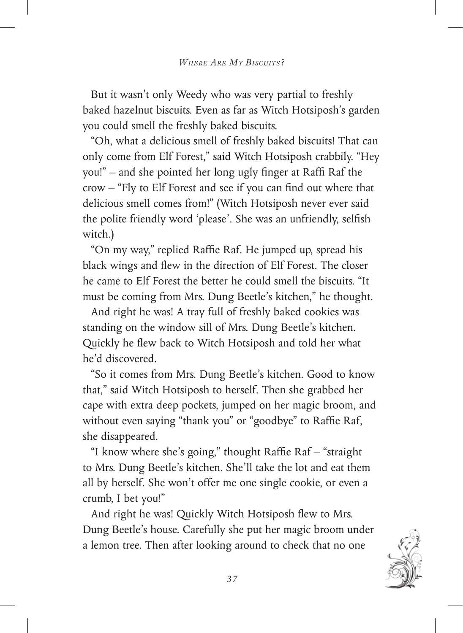But it wasn't only Weedy who was very partial to freshly baked hazelnut biscuits. Even as far as Witch Hotsiposh's garden you could smell the freshly baked biscuits.

"Oh, what a delicious smell of freshly baked biscuits! That can only come from Elf Forest," said Witch Hotsiposh crabbily. "Hey you!" – and she pointed her long ugly finger at Raffi Raf the crow – "Fly to Elf Forest and see if you can find out where that delicious smell comes from!" (Witch Hotsiposh never ever said the polite friendly word 'please'. She was an unfriendly, selfish witch.)

"On my way," replied Raffie Raf. He jumped up, spread his black wings and flew in the direction of Elf Forest. The closer he came to Elf Forest the better he could smell the biscuits. "It must be coming from Mrs. Dung Beetle's kitchen," he thought.

And right he was! A tray full of freshly baked cookies was standing on the window sill of Mrs. Dung Beetle's kitchen. Quickly he flew back to Witch Hotsiposh and told her what he'd discovered.

"So it comes from Mrs. Dung Beetle's kitchen. Good to know that," said Witch Hotsiposh to herself. Then she grabbed her cape with extra deep pockets, jumped on her magic broom, and without even saying "thank you" or "goodbye" to Raffie Raf, she disappeared.

"I know where she's going," thought Raffie Raf – "straight to Mrs. Dung Beetle's kitchen. She'll take the lot and eat them all by herself. She won't offer me one single cookie, or even a crumb, I bet you!"

And right he was! Quickly Witch Hotsiposh flew to Mrs. Dung Beetle's house. Carefully she put her magic broom under a lemon tree. Then after looking around to check that no one

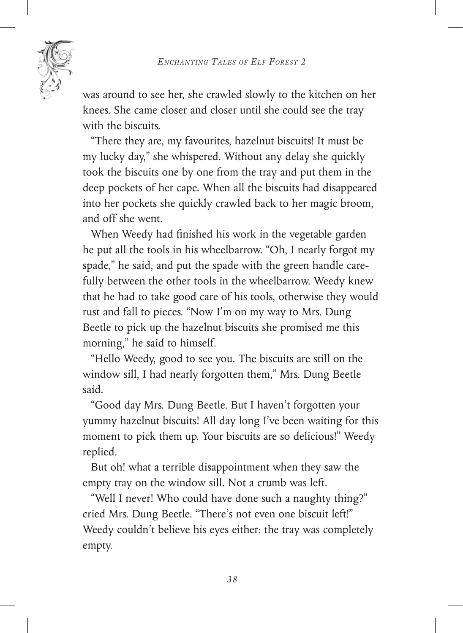*Enchanting Tales of Elf Forest 2*



was around to see her, she crawled slowly to the kitchen on her knees. She came closer and closer until she could see the tray with the biscuits.

"There they are, my favourites, hazelnut biscuits! It must be my lucky day," she whispered. Without any delay she quickly took the biscuits one by one from the tray and put them in the deep pockets of her cape. When all the biscuits had disappeared into her pockets she quickly crawled back to her magic broom, and off she went.

When Weedy had finished his work in the vegetable garden he put all the tools in his wheelbarrow. "Oh, I nearly forgot my spade," he said, and put the spade with the green handle carefully between the other tools in the wheelbarrow. Weedy knew that he had to take good care of his tools, otherwise they would rust and fall to pieces. "Now I'm on my way to Mrs. Dung Beetle to pick up the hazelnut biscuits she promised me this morning," he said to himself.

"Hello Weedy, good to see you. The biscuits are still on the window sill, I had nearly forgotten them," Mrs. Dung Beetle said.

"Good day Mrs. Dung Beetle. But I haven't forgotten your yummy hazelnut biscuits! All day long I've been waiting for this moment to pick them up. Your biscuits are so delicious!" Weedy replied.

But oh! what a terrible disappointment when they saw the empty tray on the window sill. Not a crumb was left.

"Well I never! Who could have done such a naughty thing?" cried Mrs. Dung Beetle. "There's not even one biscuit left!" Weedy couldn't believe his eyes either: the tray was completely empty.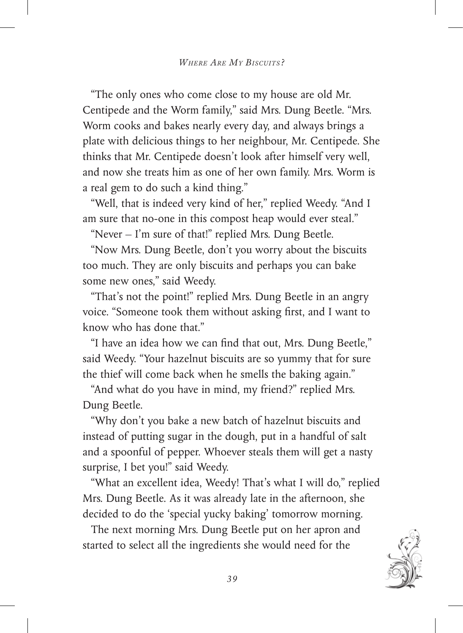"The only ones who come close to my house are old Mr. Centipede and the Worm family," said Mrs. Dung Beetle. "Mrs. Worm cooks and bakes nearly every day, and always brings a plate with delicious things to her neighbour, Mr. Centipede. She thinks that Mr. Centipede doesn't look after himself very well, and now she treats him as one of her own family. Mrs. Worm is a real gem to do such a kind thing."

"Well, that is indeed very kind of her," replied Weedy. "And I am sure that no-one in this compost heap would ever steal."

"Never  $-$  I'm sure of that!" replied Mrs. Dung Beetle.

"Now Mrs. Dung Beetle, don't you worry about the biscuits too much. They are only biscuits and perhaps you can bake some new ones," said Weedy.

"That's not the point!" replied Mrs. Dung Beetle in an angry voice. "Someone took them without asking first, and I want to know who has done that."

"I have an idea how we can find that out, Mrs. Dung Beetle," said Weedy. "Your hazelnut biscuits are so yummy that for sure the thief will come back when he smells the baking again."

"And what do you have in mind, my friend?" replied Mrs. Dung Beetle.

"Why don't you bake a new batch of hazelnut biscuits and instead of putting sugar in the dough, put in a handful of salt and a spoonful of pepper. Whoever steals them will get a nasty surprise, I bet you!" said Weedy.

"What an excellent idea, Weedy! That's what I will do," replied Mrs. Dung Beetle. As it was already late in the afternoon, she decided to do the 'special yucky baking' tomorrow morning.

The next morning Mrs. Dung Beetle put on her apron and started to select all the ingredients she would need for the

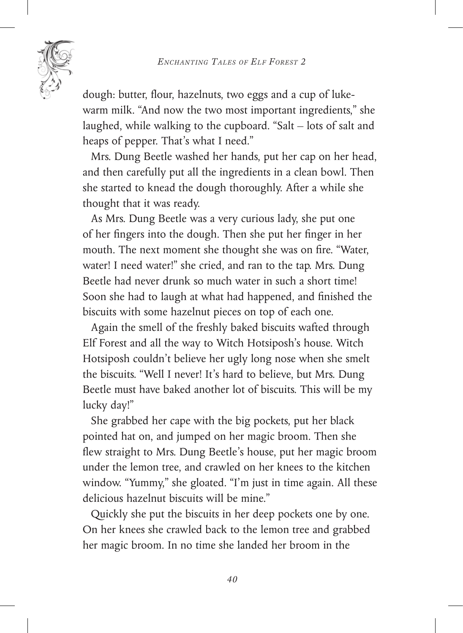

dough: butter, flour, hazelnuts, two eggs and a cup of lukewarm milk. "And now the two most important ingredients," she laughed, while walking to the cupboard. "Salt – lots of salt and heaps of pepper. That's what I need."

Mrs. Dung Beetle washed her hands, put her cap on her head, and then carefully put all the ingredients in a clean bowl. Then she started to knead the dough thoroughly. After a while she thought that it was ready.

As Mrs. Dung Beetle was a very curious lady, she put one of her fingers into the dough. Then she put her finger in her mouth. The next moment she thought she was on fire. "Water, water! I need water!" she cried, and ran to the tap. Mrs. Dung Beetle had never drunk so much water in such a short time! Soon she had to laugh at what had happened, and finished the biscuits with some hazelnut pieces on top of each one.

Again the smell of the freshly baked biscuits wafted through Elf Forest and all the way to Witch Hotsiposh's house. Witch Hotsiposh couldn't believe her ugly long nose when she smelt the biscuits. "Well I never! It's hard to believe, but Mrs. Dung Beetle must have baked another lot of biscuits. This will be my lucky day!"

She grabbed her cape with the big pockets, put her black pointed hat on, and jumped on her magic broom. Then she flew straight to Mrs. Dung Beetle's house, put her magic broom under the lemon tree, and crawled on her knees to the kitchen window. "Yummy," she gloated. "I'm just in time again. All these delicious hazelnut biscuits will be mine."

Quickly she put the biscuits in her deep pockets one by one. On her knees she crawled back to the lemon tree and grabbed her magic broom. In no time she landed her broom in the